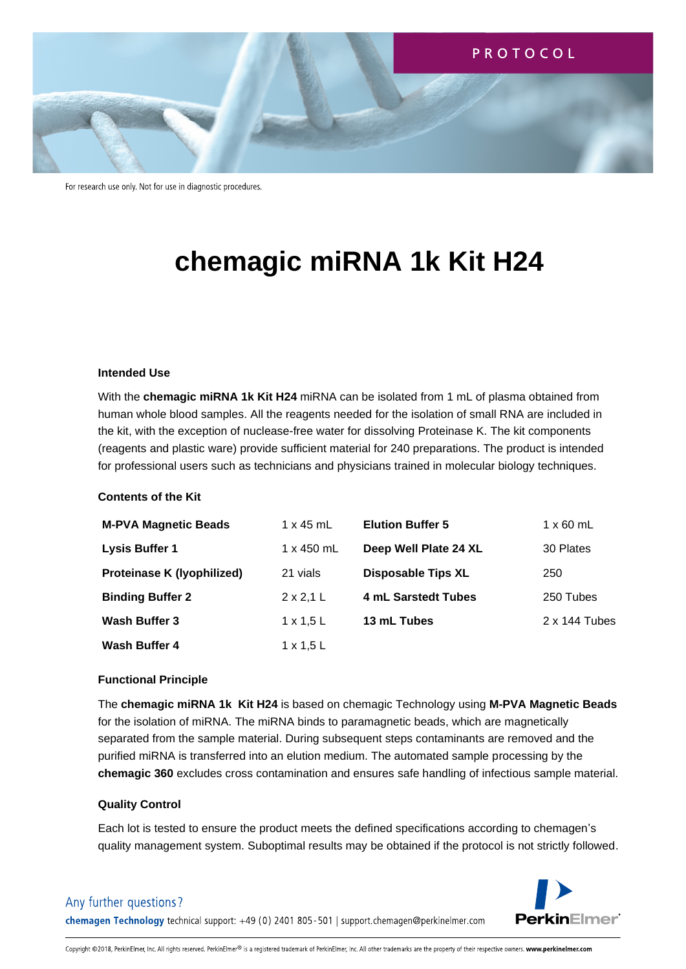

# **chemagic miRNA 1k Kit H24**

# **Intended Use**

With the **chemagic miRNA 1k Kit H24** miRNA can be isolated from 1 mL of plasma obtained from human whole blood samples. All the reagents needed for the isolation of small RNA are included in the kit, with the exception of nuclease-free water for dissolving Proteinase K. The kit components (reagents and plastic ware) provide sufficient material for 240 preparations. The product is intended for professional users such as technicians and physicians trained in molecular biology techniques.

# **Contents of the Kit**

| <b>M-PVA Magnetic Beads</b> | $1 \times 45$ mL | <b>Elution Buffer 5</b>   | $1 \times 60$ mL |
|-----------------------------|------------------|---------------------------|------------------|
| <b>Lysis Buffer 1</b>       | 1 x 450 mL       | Deep Well Plate 24 XL     | 30 Plates        |
| Proteinase K (lyophilized)  | 21 vials         | <b>Disposable Tips XL</b> | 250              |
| <b>Binding Buffer 2</b>     | $2 \times 2,1$ L | 4 mL Sarstedt Tubes       | 250 Tubes        |
| Wash Buffer 3               | $1 \times 1.5$ L | 13 mL Tubes               | 2 x 144 Tubes    |
| Wash Buffer 4               | $1 \times 1.5$ L |                           |                  |

# **Functional Principle**

The **chemagic miRNA 1k Kit H24** is based on chemagic Technology using **M-PVA Magnetic Beads** for the isolation of miRNA. The miRNA binds to paramagnetic beads, which are magnetically separated from the sample material. During subsequent steps contaminants are removed and the purified miRNA is transferred into an elution medium. The automated sample processing by the **chemagic 360** excludes cross contamination and ensures safe handling of infectious sample material.

### **Quality Control**

Each lot is tested to ensure the product meets the defined specifications according to chemagen's quality management system. Suboptimal results may be obtained if the protocol is not strictly followed.



# Any further questions?

chemagen Technology technical support: +49 (0) 2401 805-501 | support.chemagen@perkinelmer.com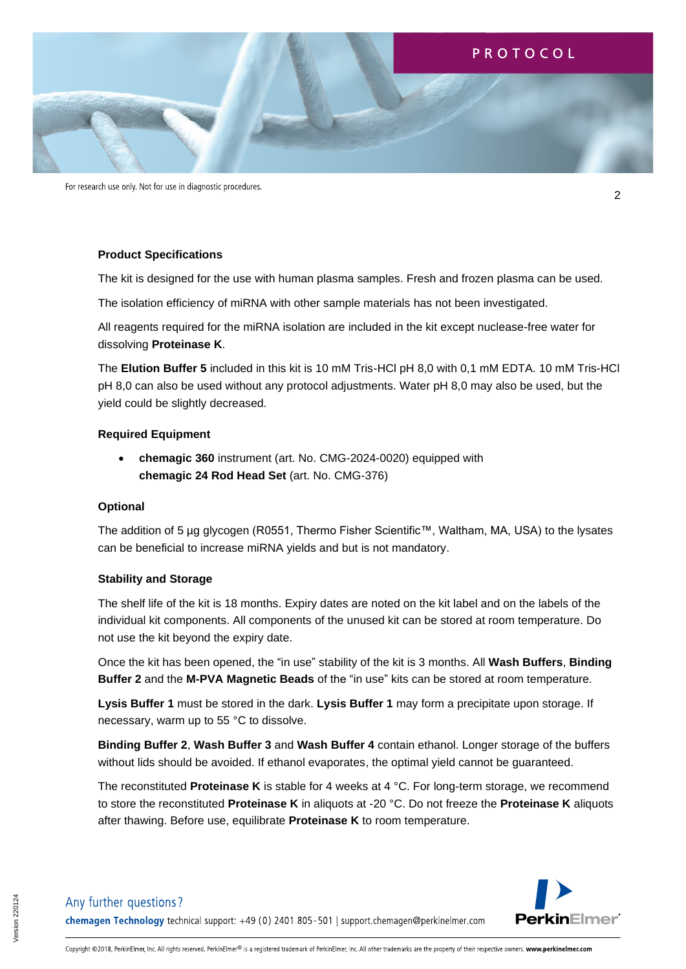

For research use only. Not for use in diagnostic procedures.

### **Product Specifications**

The kit is designed for the use with human plasma samples. Fresh and frozen plasma can be used.

The isolation efficiency of miRNA with other sample materials has not been investigated.

All reagents required for the miRNA isolation are included in the kit except nuclease-free water for dissolving **Proteinase K**.

The **Elution Buffer 5** included in this kit is 10 mM Tris-HCl pH 8,0 with 0,1 mM EDTA. 10 mM Tris-HCl pH 8,0 can also be used without any protocol adjustments. Water pH 8,0 may also be used, but the yield could be slightly decreased.

### **Required Equipment**

• **chemagic 360** instrument (art. No. CMG-2024-0020) equipped with **chemagic 24 Rod Head Set** (art. No. CMG-376)

### **Optional**

The addition of 5 µg glycogen (R0551, Thermo Fisher Scientific™, Waltham, MA, USA) to the lysates can be beneficial to increase miRNA yields and but is not mandatory.

### **Stability and Storage**

The shelf life of the kit is 18 months. Expiry dates are noted on the kit label and on the labels of the individual kit components. All components of the unused kit can be stored at room temperature. Do not use the kit beyond the expiry date.

Once the kit has been opened, the "in use" stability of the kit is 3 months. All **Wash Buffers**, **Binding Buffer 2** and the **M-PVA Magnetic Beads** of the "in use" kits can be stored at room temperature.

**Lysis Buffer 1** must be stored in the dark. **Lysis Buffer 1** may form a precipitate upon storage. If necessary, warm up to 55 °C to dissolve.

**Binding Buffer 2**, **Wash Buffer 3** and **Wash Buffer 4** contain ethanol. Longer storage of the buffers without lids should be avoided. If ethanol evaporates, the optimal yield cannot be guaranteed.

The reconstituted **Proteinase K** is stable for 4 weeks at 4 °C. For long-term storage, we recommend to store the reconstituted **Proteinase K** in aliquots at -20 °C. Do not freeze the **Proteinase K** aliquots after thawing. Before use, equilibrate **Proteinase K** to room temperature.



2

Any further questions?

chemagen Technology technical support: +49 (0) 2401 805-501 | support.chemagen@perkinelmer.com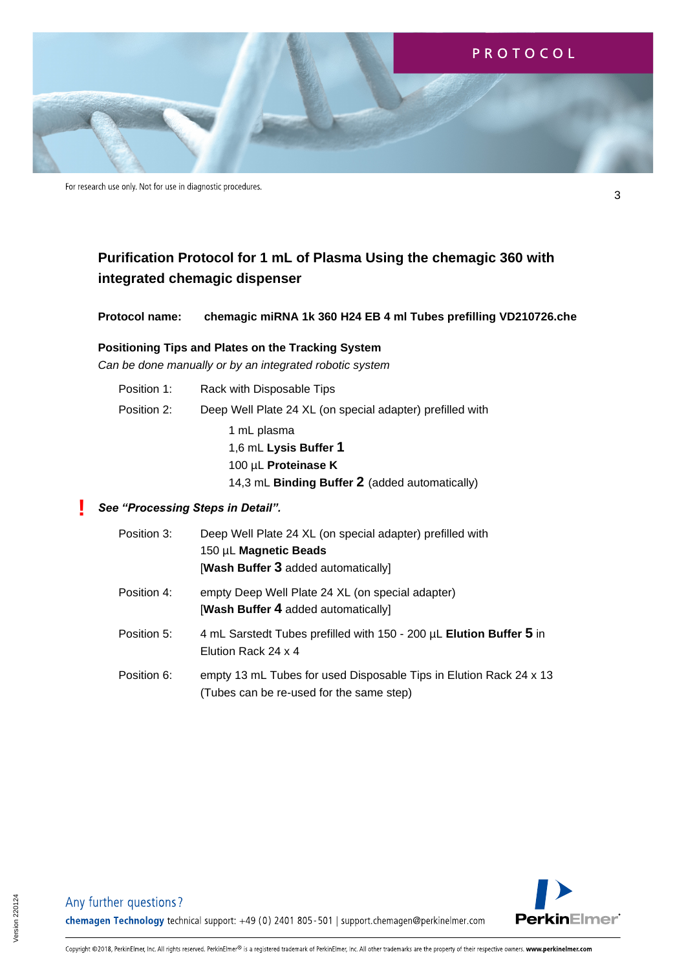

# **Purification Protocol for 1 mL of Plasma Using the chemagic 360 with integrated chemagic dispenser**

**Protocol name: chemagic miRNA 1k 360 H24 EB 4 ml Tubes prefilling VD210726.che**

# **Positioning Tips and Plates on the Tracking System**

*Can be done manually or by an integrated robotic system*

| Position 1: | Rack with Disposable Tips                                 |
|-------------|-----------------------------------------------------------|
| Position 2: | Deep Well Plate 24 XL (on special adapter) prefilled with |
|             | 1 mL plasma                                               |
|             | 1,6 mL Lysis Buffer 1                                     |
|             | 100 µL Proteinase K                                       |
|             | 14,3 mL Binding Buffer 2 (added automatically)            |

#### *See "Processing Steps in Detail".* **!**

| Position 3: | Deep Well Plate 24 XL (on special adapter) prefilled with<br>150 µL Magnetic Beads<br>[Wash Buffer 3 added automatically] |  |
|-------------|---------------------------------------------------------------------------------------------------------------------------|--|
| Position 4: | empty Deep Well Plate 24 XL (on special adapter)<br>[Wash Buffer 4 added automatically]                                   |  |
| Position 5: | 4 mL Sarstedt Tubes prefilled with 150 - 200 µL Elution Buffer 5 in<br>Elution Rack 24 x 4                                |  |
| Position 6: | empty 13 mL Tubes for used Disposable Tips in Elution Rack 24 x 13<br>(Tubes can be re-used for the same step)            |  |



Any further questions? chemagen Technology technical support: +49 (0) 2401 805-501 | support.chemagen@perkinelmer.com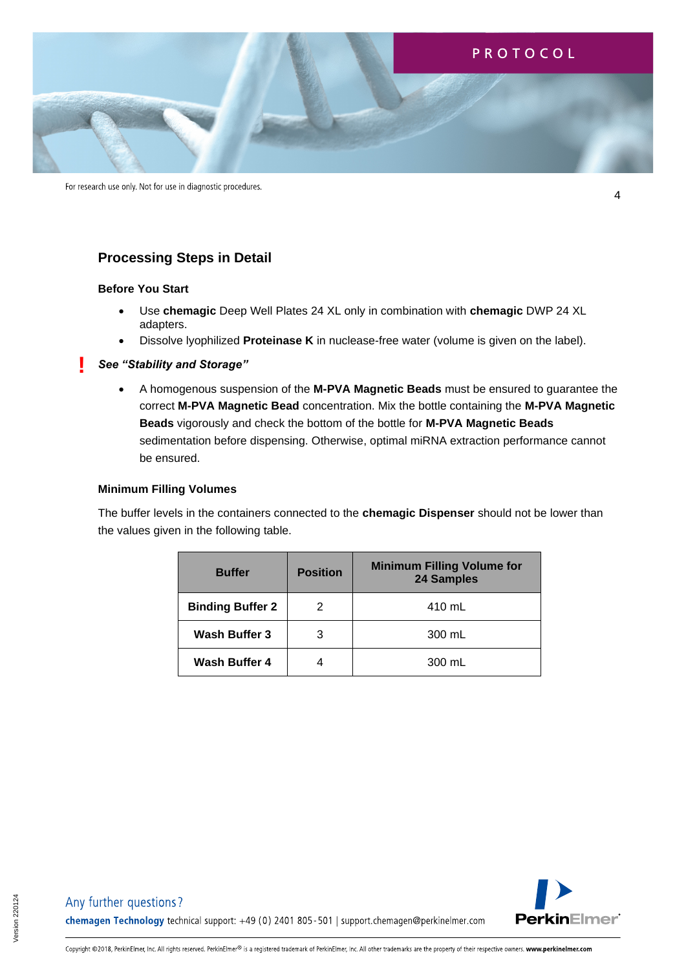

For research use only. Not for use in diagnostic procedures.

# **Processing Steps in Detail**

# **Before You Start**

**!**

- Use **chemagic** Deep Well Plates 24 XL only in combination with **chemagic** DWP 24 XL adapters.
- Dissolve lyophilized **Proteinase K** in nuclease-free water (volume is given on the label).

# *See "Stability and Storage"*

• A homogenous suspension of the **M-PVA Magnetic Beads** must be ensured to guarantee the correct **M-PVA Magnetic Bead** concentration. Mix the bottle containing the **M-PVA Magnetic Beads** vigorously and check the bottom of the bottle for **M-PVA Magnetic Beads** sedimentation before dispensing. Otherwise, optimal miRNA extraction performance cannot be ensured.

# **Minimum Filling Volumes**

The buffer levels in the containers connected to the **chemagic Dispenser** should not be lower than the values given in the following table.

| <b>Buffer</b>           | <b>Position</b> | <b>Minimum Filling Volume for</b><br>24 Samples |
|-------------------------|-----------------|-------------------------------------------------|
| <b>Binding Buffer 2</b> | 2               | 410 mL                                          |
| Wash Buffer 3           | З               | 300 mL                                          |
| Wash Buffer 4           |                 | 300 mL                                          |



Any further questions? chemagen Technology technical support: +49 (0) 2401 805-501 | support.chemagen@perkinelmer.com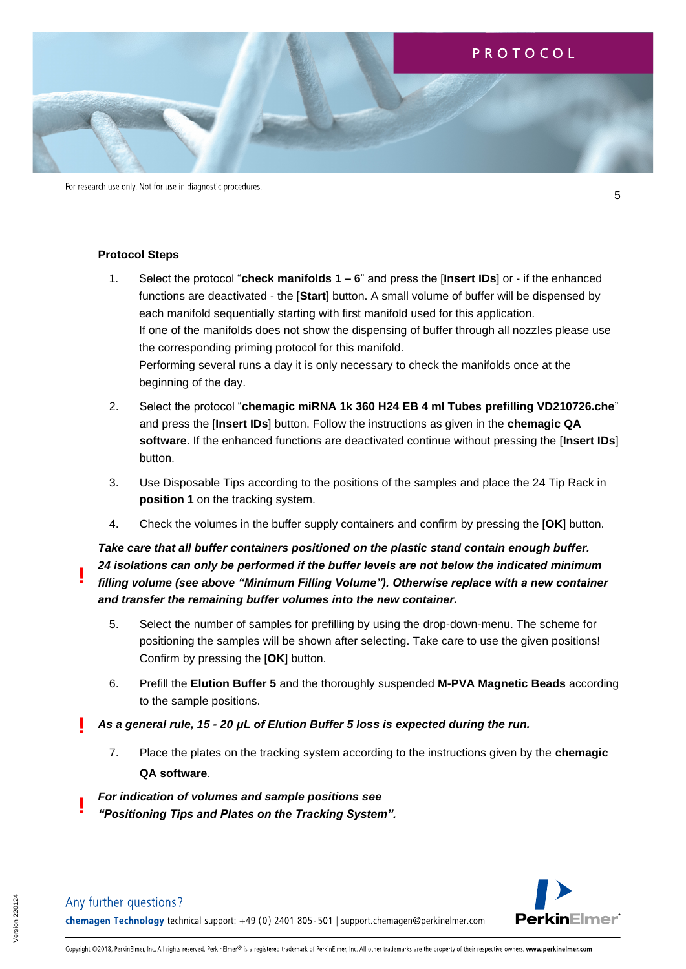

# **Protocol Steps**

- 1. Select the protocol "**check manifolds 1 – 6**" and press the [**Insert IDs**] or if the enhanced functions are deactivated - the [**Start**] button. A small volume of buffer will be dispensed by each manifold sequentially starting with first manifold used for this application. If one of the manifolds does not show the dispensing of buffer through all nozzles please use the corresponding priming protocol for this manifold. Performing several runs a day it is only necessary to check the manifolds once at the beginning of the day.
- 2. Select the protocol "**chemagic miRNA 1k 360 H24 EB 4 ml Tubes prefilling VD210726.che**" and press the [**Insert IDs**] button. Follow the instructions as given in the **chemagic QA software**. If the enhanced functions are deactivated continue without pressing the [**Insert IDs**] button.
- 3. Use Disposable Tips according to the positions of the samples and place the 24 Tip Rack in **position 1** on the tracking system.
- 4. Check the volumes in the buffer supply containers and confirm by pressing the [**OK**] button.

*Take care that all buffer containers positioned on the plastic stand contain enough buffer. 24 isolations can only be performed if the buffer levels are not below the indicated minimum filling volume (see above "Minimum Filling Volume"). Otherwise replace with a new container and transfer the remaining buffer volumes into the new container.*

- 5. Select the number of samples for prefilling by using the drop-down-menu. The scheme for positioning the samples will be shown after selecting. Take care to use the given positions! Confirm by pressing the [**OK**] button.
- 6. Prefill the **Elution Buffer 5** and the thoroughly suspended **M-PVA Magnetic Beads** according to the sample positions.
- *As a general rule, 15 - 20 μL of Elution Buffer 5 loss is expected during the run.*
	- 7. Place the plates on the tracking system according to the instructions given by the **chemagic QA software**.
- *For indication of volumes and sample positions see "Positioning Tips and Plates on the Tracking System".* **!**



5

Any further questions?

**!**

**!**

chemagen Technology technical support: +49 (0) 2401 805-501 | support.chemagen@perkinelmer.com